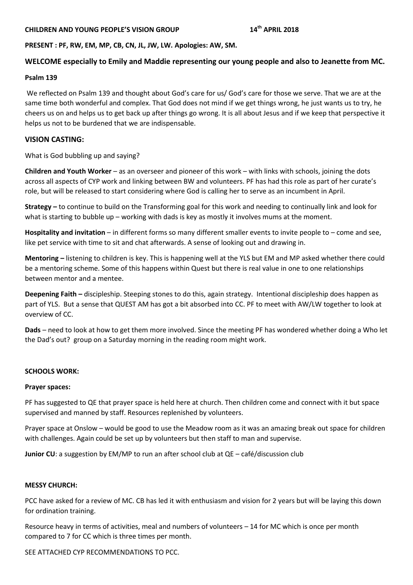# **CHILDREN AND YOUNG PEOPLE'S VISION GROUP 14th APRIL 2018**

## **PRESENT : PF, RW, EM, MP, CB, CN, JL, JW, LW. Apologies: AW, SM.**

## **WELCOME especially to Emily and Maddie representing our young people and also to Jeanette from MC.**

### **Psalm 139**

We reflected on Psalm 139 and thought about God's care for us/ God's care for those we serve. That we are at the same time both wonderful and complex. That God does not mind if we get things wrong, he just wants us to try, he cheers us on and helps us to get back up after things go wrong. It is all about Jesus and if we keep that perspective it helps us not to be burdened that we are indispensable.

## **VISION CASTING:**

What is God bubbling up and saying?

**Children and Youth Worker** – as an overseer and pioneer of this work – with links with schools, joining the dots across all aspects of CYP work and linking between BW and volunteers. PF has had this role as part of her curate's role, but will be released to start considering where God is calling her to serve as an incumbent in April.

**Strategy –** to continue to build on the Transforming goal for this work and needing to continually link and look for what is starting to bubble up – working with dads is key as mostly it involves mums at the moment.

**Hospitality and invitation** – in different forms so many different smaller events to invite people to – come and see, like pet service with time to sit and chat afterwards. A sense of looking out and drawing in.

**Mentoring –** listening to children is key. This is happening well at the YLS but EM and MP asked whether there could be a mentoring scheme. Some of this happens within Quest but there is real value in one to one relationships between mentor and a mentee.

**Deepening Faith –** discipleship. Steeping stones to do this, again strategy. Intentional discipleship does happen as part of YLS. But a sense that QUEST AM has got a bit absorbed into CC. PF to meet with AW/LW together to look at overview of CC.

**Dads** – need to look at how to get them more involved. Since the meeting PF has wondered whether doing a Who let the Dad's out? group on a Saturday morning in the reading room might work.

## **SCHOOLS WORK:**

#### **Prayer spaces:**

PF has suggested to QE that prayer space is held here at church. Then children come and connect with it but space supervised and manned by staff. Resources replenished by volunteers.

Prayer space at Onslow – would be good to use the Meadow room as it was an amazing break out space for children with challenges. Again could be set up by volunteers but then staff to man and supervise.

**Junior CU**: a suggestion by EM/MP to run an after school club at QE – café/discussion club

#### **MESSY CHURCH:**

PCC have asked for a review of MC. CB has led it with enthusiasm and vision for 2 years but will be laying this down for ordination training.

Resource heavy in terms of activities, meal and numbers of volunteers – 14 for MC which is once per month compared to 7 for CC which is three times per month.

SEE ATTACHED CYP RECOMMENDATIONS TO PCC.